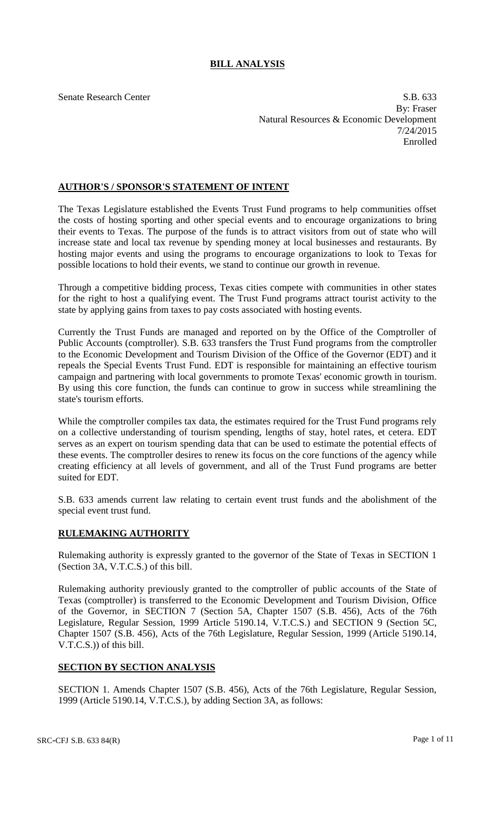## **BILL ANALYSIS**

Senate Research Center S.B. 633 By: Fraser Natural Resources & Economic Development 7/24/2015 Enrolled

## **AUTHOR'S / SPONSOR'S STATEMENT OF INTENT**

The Texas Legislature established the Events Trust Fund programs to help communities offset the costs of hosting sporting and other special events and to encourage organizations to bring their events to Texas. The purpose of the funds is to attract visitors from out of state who will increase state and local tax revenue by spending money at local businesses and restaurants. By hosting major events and using the programs to encourage organizations to look to Texas for possible locations to hold their events, we stand to continue our growth in revenue.

Through a competitive bidding process, Texas cities compete with communities in other states for the right to host a qualifying event. The Trust Fund programs attract tourist activity to the state by applying gains from taxes to pay costs associated with hosting events.

Currently the Trust Funds are managed and reported on by the Office of the Comptroller of Public Accounts (comptroller). S.B. 633 transfers the Trust Fund programs from the comptroller to the Economic Development and Tourism Division of the Office of the Governor (EDT) and it repeals the Special Events Trust Fund. EDT is responsible for maintaining an effective tourism campaign and partnering with local governments to promote Texas' economic growth in tourism. By using this core function, the funds can continue to grow in success while streamlining the state's tourism efforts.

While the comptroller compiles tax data, the estimates required for the Trust Fund programs rely on a collective understanding of tourism spending, lengths of stay, hotel rates, et cetera. EDT serves as an expert on tourism spending data that can be used to estimate the potential effects of these events. The comptroller desires to renew its focus on the core functions of the agency while creating efficiency at all levels of government, and all of the Trust Fund programs are better suited for EDT.

S.B. 633 amends current law relating to certain event trust funds and the abolishment of the special event trust fund.

## **RULEMAKING AUTHORITY**

Rulemaking authority is expressly granted to the governor of the State of Texas in SECTION 1 (Section 3A, V.T.C.S.) of this bill.

Rulemaking authority previously granted to the comptroller of public accounts of the State of Texas (comptroller) is transferred to the Economic Development and Tourism Division, Office of the Governor, in SECTION 7 (Section 5A, Chapter 1507 (S.B. 456), Acts of the 76th Legislature, Regular Session, 1999 Article 5190.14, V.T.C.S.) and SECTION 9 (Section 5C, Chapter 1507 (S.B. 456), Acts of the 76th Legislature, Regular Session, 1999 (Article 5190.14, V.T.C.S.)) of this bill.

## **SECTION BY SECTION ANALYSIS**

SECTION 1. Amends Chapter 1507 (S.B. 456), Acts of the 76th Legislature, Regular Session, 1999 (Article 5190.14, V.T.C.S.), by adding Section 3A, as follows: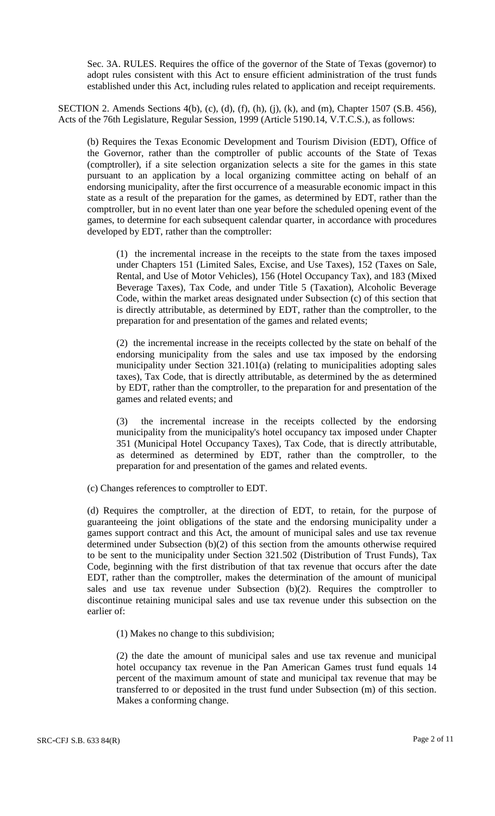Sec. 3A. RULES. Requires the office of the governor of the State of Texas (governor) to adopt rules consistent with this Act to ensure efficient administration of the trust funds established under this Act, including rules related to application and receipt requirements.

SECTION 2. Amends Sections 4(b), (c), (d), (f), (h), (j), (k), and (m), Chapter 1507 (S.B. 456), Acts of the 76th Legislature, Regular Session, 1999 (Article 5190.14, V.T.C.S.), as follows:

(b) Requires the Texas Economic Development and Tourism Division (EDT), Office of the Governor, rather than the comptroller of public accounts of the State of Texas (comptroller), if a site selection organization selects a site for the games in this state pursuant to an application by a local organizing committee acting on behalf of an endorsing municipality, after the first occurrence of a measurable economic impact in this state as a result of the preparation for the games, as determined by EDT, rather than the comptroller, but in no event later than one year before the scheduled opening event of the games, to determine for each subsequent calendar quarter, in accordance with procedures developed by EDT, rather than the comptroller:

(1) the incremental increase in the receipts to the state from the taxes imposed under Chapters 151 (Limited Sales, Excise, and Use Taxes), 152 (Taxes on Sale, Rental, and Use of Motor Vehicles), 156 (Hotel Occupancy Tax), and 183 (Mixed Beverage Taxes), Tax Code, and under Title 5 (Taxation), Alcoholic Beverage Code, within the market areas designated under Subsection (c) of this section that is directly attributable, as determined by EDT, rather than the comptroller, to the preparation for and presentation of the games and related events;

(2) the incremental increase in the receipts collected by the state on behalf of the endorsing municipality from the sales and use tax imposed by the endorsing municipality under Section 321.101(a) (relating to municipalities adopting sales taxes), Tax Code, that is directly attributable, as determined by the as determined by EDT, rather than the comptroller, to the preparation for and presentation of the games and related events; and

(3) the incremental increase in the receipts collected by the endorsing municipality from the municipality's hotel occupancy tax imposed under Chapter 351 (Municipal Hotel Occupancy Taxes), Tax Code, that is directly attributable, as determined as determined by EDT, rather than the comptroller, to the preparation for and presentation of the games and related events.

(c) Changes references to comptroller to EDT.

(d) Requires the comptroller, at the direction of EDT, to retain, for the purpose of guaranteeing the joint obligations of the state and the endorsing municipality under a games support contract and this Act, the amount of municipal sales and use tax revenue determined under Subsection (b)(2) of this section from the amounts otherwise required to be sent to the municipality under Section 321.502 (Distribution of Trust Funds), Tax Code, beginning with the first distribution of that tax revenue that occurs after the date EDT, rather than the comptroller, makes the determination of the amount of municipal sales and use tax revenue under Subsection (b)(2). Requires the comptroller to discontinue retaining municipal sales and use tax revenue under this subsection on the earlier of:

(1) Makes no change to this subdivision;

(2) the date the amount of municipal sales and use tax revenue and municipal hotel occupancy tax revenue in the Pan American Games trust fund equals 14 percent of the maximum amount of state and municipal tax revenue that may be transferred to or deposited in the trust fund under Subsection (m) of this section. Makes a conforming change.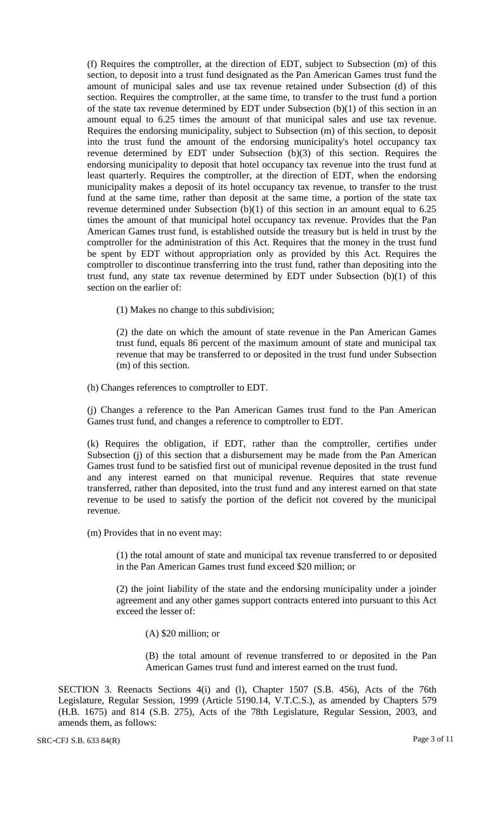(f) Requires the comptroller, at the direction of EDT, subject to Subsection (m) of this section, to deposit into a trust fund designated as the Pan American Games trust fund the amount of municipal sales and use tax revenue retained under Subsection (d) of this section. Requires the comptroller, at the same time, to transfer to the trust fund a portion of the state tax revenue determined by EDT under Subsection (b)(1) of this section in an amount equal to 6.25 times the amount of that municipal sales and use tax revenue. Requires the endorsing municipality, subject to Subsection (m) of this section, to deposit into the trust fund the amount of the endorsing municipality's hotel occupancy tax revenue determined by EDT under Subsection (b)(3) of this section. Requires the endorsing municipality to deposit that hotel occupancy tax revenue into the trust fund at least quarterly. Requires the comptroller, at the direction of EDT, when the endorsing municipality makes a deposit of its hotel occupancy tax revenue, to transfer to the trust fund at the same time, rather than deposit at the same time, a portion of the state tax revenue determined under Subsection (b)(1) of this section in an amount equal to 6.25 times the amount of that municipal hotel occupancy tax revenue. Provides that the Pan American Games trust fund, is established outside the treasury but is held in trust by the comptroller for the administration of this Act. Requires that the money in the trust fund be spent by EDT without appropriation only as provided by this Act. Requires the comptroller to discontinue transferring into the trust fund, rather than depositing into the trust fund, any state tax revenue determined by EDT under Subsection (b)(1) of this section on the earlier of:

(1) Makes no change to this subdivision;

(2) the date on which the amount of state revenue in the Pan American Games trust fund, equals 86 percent of the maximum amount of state and municipal tax revenue that may be transferred to or deposited in the trust fund under Subsection (m) of this section.

(h) Changes references to comptroller to EDT.

(j) Changes a reference to the Pan American Games trust fund to the Pan American Games trust fund, and changes a reference to comptroller to EDT.

(k) Requires the obligation, if EDT, rather than the comptroller, certifies under Subsection (j) of this section that a disbursement may be made from the Pan American Games trust fund to be satisfied first out of municipal revenue deposited in the trust fund and any interest earned on that municipal revenue. Requires that state revenue transferred, rather than deposited, into the trust fund and any interest earned on that state revenue to be used to satisfy the portion of the deficit not covered by the municipal revenue.

(m) Provides that in no event may:

(1) the total amount of state and municipal tax revenue transferred to or deposited in the Pan American Games trust fund exceed \$20 million; or

(2) the joint liability of the state and the endorsing municipality under a joinder agreement and any other games support contracts entered into pursuant to this Act exceed the lesser of:

(A) \$20 million; or

(B) the total amount of revenue transferred to or deposited in the Pan American Games trust fund and interest earned on the trust fund.

SECTION 3. Reenacts Sections 4(i) and (l), Chapter 1507 (S.B. 456), Acts of the 76th Legislature, Regular Session, 1999 (Article 5190.14, V.T.C.S.), as amended by Chapters 579 (H.B. 1675) and 814 (S.B. 275), Acts of the 78th Legislature, Regular Session, 2003, and amends them, as follows: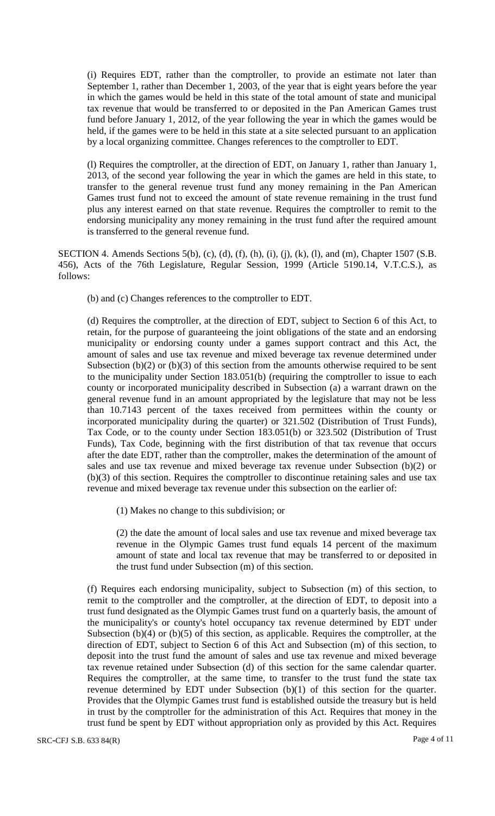(i) Requires EDT, rather than the comptroller, to provide an estimate not later than September 1, rather than December 1, 2003, of the year that is eight years before the year in which the games would be held in this state of the total amount of state and municipal tax revenue that would be transferred to or deposited in the Pan American Games trust fund before January 1, 2012, of the year following the year in which the games would be held, if the games were to be held in this state at a site selected pursuant to an application by a local organizing committee. Changes references to the comptroller to EDT.

(l) Requires the comptroller, at the direction of EDT, on January 1, rather than January 1, 2013, of the second year following the year in which the games are held in this state, to transfer to the general revenue trust fund any money remaining in the Pan American Games trust fund not to exceed the amount of state revenue remaining in the trust fund plus any interest earned on that state revenue. Requires the comptroller to remit to the endorsing municipality any money remaining in the trust fund after the required amount is transferred to the general revenue fund.

SECTION 4. Amends Sections 5(b), (c), (d), (f), (h), (i), (j), (k), (l), and (m), Chapter 1507 (S.B. 456), Acts of the 76th Legislature, Regular Session, 1999 (Article 5190.14, V.T.C.S.), as follows:

(b) and (c) Changes references to the comptroller to EDT.

(d) Requires the comptroller, at the direction of EDT, subject to Section 6 of this Act, to retain, for the purpose of guaranteeing the joint obligations of the state and an endorsing municipality or endorsing county under a games support contract and this Act, the amount of sales and use tax revenue and mixed beverage tax revenue determined under Subsection  $(b)(2)$  or  $(b)(3)$  of this section from the amounts otherwise required to be sent to the municipality under Section 183.051(b) (requiring the comptroller to issue to each county or incorporated municipality described in Subsection (a) a warrant drawn on the general revenue fund in an amount appropriated by the legislature that may not be less than 10.7143 percent of the taxes received from permittees within the county or incorporated municipality during the quarter) or 321.502 (Distribution of Trust Funds), Tax Code, or to the county under Section 183.051(b) or 323.502 (Distribution of Trust Funds), Tax Code, beginning with the first distribution of that tax revenue that occurs after the date EDT, rather than the comptroller, makes the determination of the amount of sales and use tax revenue and mixed beverage tax revenue under Subsection (b)(2) or (b)(3) of this section. Requires the comptroller to discontinue retaining sales and use tax revenue and mixed beverage tax revenue under this subsection on the earlier of:

(1) Makes no change to this subdivision; or

(2) the date the amount of local sales and use tax revenue and mixed beverage tax revenue in the Olympic Games trust fund equals 14 percent of the maximum amount of state and local tax revenue that may be transferred to or deposited in the trust fund under Subsection (m) of this section.

(f) Requires each endorsing municipality, subject to Subsection (m) of this section, to remit to the comptroller and the comptroller, at the direction of EDT, to deposit into a trust fund designated as the Olympic Games trust fund on a quarterly basis, the amount of the municipality's or county's hotel occupancy tax revenue determined by EDT under Subsection  $(b)(4)$  or  $(b)(5)$  of this section, as applicable. Requires the comptroller, at the direction of EDT, subject to Section 6 of this Act and Subsection (m) of this section, to deposit into the trust fund the amount of sales and use tax revenue and mixed beverage tax revenue retained under Subsection (d) of this section for the same calendar quarter. Requires the comptroller, at the same time, to transfer to the trust fund the state tax revenue determined by EDT under Subsection (b)(1) of this section for the quarter. Provides that the Olympic Games trust fund is established outside the treasury but is held in trust by the comptroller for the administration of this Act. Requires that money in the trust fund be spent by EDT without appropriation only as provided by this Act. Requires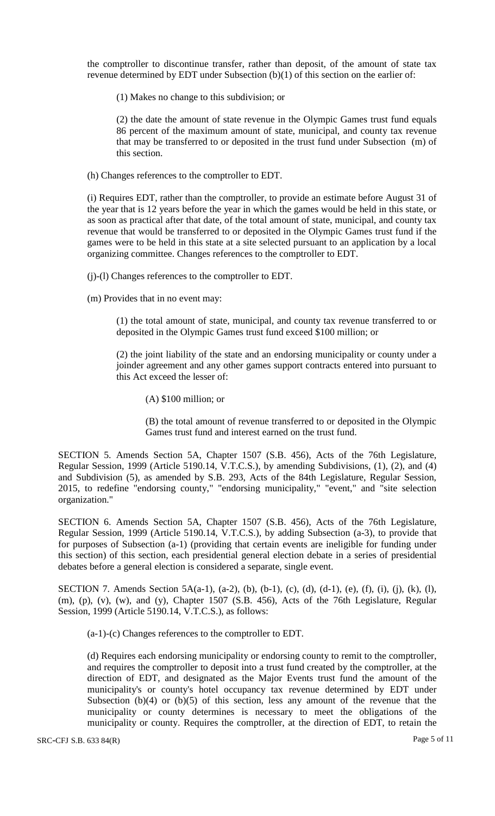the comptroller to discontinue transfer, rather than deposit, of the amount of state tax revenue determined by EDT under Subsection (b)(1) of this section on the earlier of:

(1) Makes no change to this subdivision; or

(2) the date the amount of state revenue in the Olympic Games trust fund equals 86 percent of the maximum amount of state, municipal, and county tax revenue that may be transferred to or deposited in the trust fund under Subsection (m) of this section.

(h) Changes references to the comptroller to EDT.

(i) Requires EDT, rather than the comptroller, to provide an estimate before August 31 of the year that is 12 years before the year in which the games would be held in this state, or as soon as practical after that date, of the total amount of state, municipal, and county tax revenue that would be transferred to or deposited in the Olympic Games trust fund if the games were to be held in this state at a site selected pursuant to an application by a local organizing committee. Changes references to the comptroller to EDT.

(j)-(l) Changes references to the comptroller to EDT.

(m) Provides that in no event may:

(1) the total amount of state, municipal, and county tax revenue transferred to or deposited in the Olympic Games trust fund exceed \$100 million; or

(2) the joint liability of the state and an endorsing municipality or county under a joinder agreement and any other games support contracts entered into pursuant to this Act exceed the lesser of:

(A) \$100 million; or

(B) the total amount of revenue transferred to or deposited in the Olympic Games trust fund and interest earned on the trust fund.

SECTION 5. Amends Section 5A, Chapter 1507 (S.B. 456), Acts of the 76th Legislature, Regular Session, 1999 (Article 5190.14, V.T.C.S.), by amending Subdivisions, (1), (2), and (4) and Subdivision (5), as amended by S.B. 293, Acts of the 84th Legislature, Regular Session, 2015, to redefine "endorsing county," "endorsing municipality," "event," and "site selection organization."

SECTION 6. Amends Section 5A, Chapter 1507 (S.B. 456), Acts of the 76th Legislature, Regular Session, 1999 (Article 5190.14, V.T.C.S.), by adding Subsection (a-3), to provide that for purposes of Subsection (a-1) (providing that certain events are ineligible for funding under this section) of this section, each presidential general election debate in a series of presidential debates before a general election is considered a separate, single event.

SECTION 7. Amends Section 5A(a-1), (a-2), (b), (b-1), (c), (d), (d-1), (e), (f), (i), (j), (k), (l), (m), (p), (v), (w), and (y), Chapter 1507 (S.B. 456), Acts of the 76th Legislature, Regular Session, 1999 (Article 5190.14, V.T.C.S.), as follows:

(a-1)-(c) Changes references to the comptroller to EDT.

(d) Requires each endorsing municipality or endorsing county to remit to the comptroller, and requires the comptroller to deposit into a trust fund created by the comptroller, at the direction of EDT, and designated as the Major Events trust fund the amount of the municipality's or county's hotel occupancy tax revenue determined by EDT under Subsection  $(b)(4)$  or  $(b)(5)$  of this section, less any amount of the revenue that the municipality or county determines is necessary to meet the obligations of the municipality or county. Requires the comptroller, at the direction of EDT, to retain the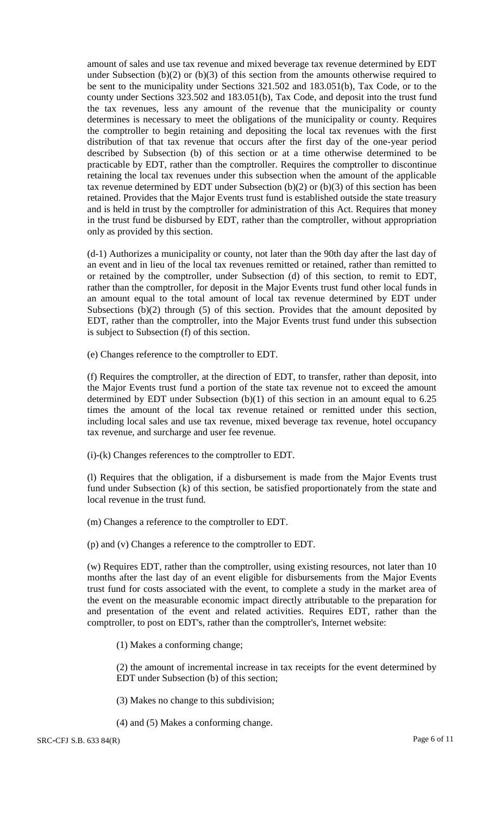amount of sales and use tax revenue and mixed beverage tax revenue determined by EDT under Subsection (b)(2) or (b)(3) of this section from the amounts otherwise required to be sent to the municipality under Sections 321.502 and 183.051(b), Tax Code, or to the county under Sections 323.502 and 183.051(b), Tax Code, and deposit into the trust fund the tax revenues, less any amount of the revenue that the municipality or county determines is necessary to meet the obligations of the municipality or county. Requires the comptroller to begin retaining and depositing the local tax revenues with the first distribution of that tax revenue that occurs after the first day of the one-year period described by Subsection (b) of this section or at a time otherwise determined to be practicable by EDT, rather than the comptroller. Requires the comptroller to discontinue retaining the local tax revenues under this subsection when the amount of the applicable tax revenue determined by EDT under Subsection  $(b)(2)$  or  $(b)(3)$  of this section has been retained. Provides that the Major Events trust fund is established outside the state treasury and is held in trust by the comptroller for administration of this Act. Requires that money in the trust fund be disbursed by EDT, rather than the comptroller, without appropriation only as provided by this section.

(d-1) Authorizes a municipality or county, not later than the 90th day after the last day of an event and in lieu of the local tax revenues remitted or retained, rather than remitted to or retained by the comptroller, under Subsection (d) of this section, to remit to EDT, rather than the comptroller, for deposit in the Major Events trust fund other local funds in an amount equal to the total amount of local tax revenue determined by EDT under Subsections (b)(2) through (5) of this section. Provides that the amount deposited by EDT, rather than the comptroller, into the Major Events trust fund under this subsection is subject to Subsection (f) of this section.

(e) Changes reference to the comptroller to EDT.

(f) Requires the comptroller, at the direction of EDT, to transfer, rather than deposit, into the Major Events trust fund a portion of the state tax revenue not to exceed the amount determined by EDT under Subsection (b)(1) of this section in an amount equal to 6.25 times the amount of the local tax revenue retained or remitted under this section, including local sales and use tax revenue, mixed beverage tax revenue, hotel occupancy tax revenue, and surcharge and user fee revenue.

(i)-(k) Changes references to the comptroller to EDT.

(l) Requires that the obligation, if a disbursement is made from the Major Events trust fund under Subsection (k) of this section, be satisfied proportionately from the state and local revenue in the trust fund.

(m) Changes a reference to the comptroller to EDT.

(p) and (v) Changes a reference to the comptroller to EDT.

(w) Requires EDT, rather than the comptroller, using existing resources, not later than 10 months after the last day of an event eligible for disbursements from the Major Events trust fund for costs associated with the event, to complete a study in the market area of the event on the measurable economic impact directly attributable to the preparation for and presentation of the event and related activities. Requires EDT, rather than the comptroller, to post on EDT's, rather than the comptroller's, Internet website:

(1) Makes a conforming change;

(2) the amount of incremental increase in tax receipts for the event determined by EDT under Subsection (b) of this section;

(3) Makes no change to this subdivision;

(4) and (5) Makes a conforming change.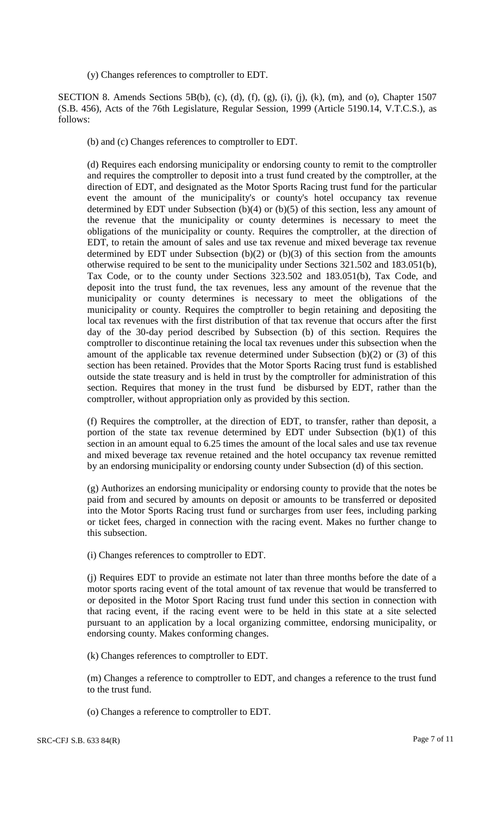(y) Changes references to comptroller to EDT.

SECTION 8. Amends Sections 5B(b), (c), (d), (f), (g), (i), (j), (k), (m), and (o), Chapter 1507 (S.B. 456), Acts of the 76th Legislature, Regular Session, 1999 (Article 5190.14, V.T.C.S.), as follows:

(b) and (c) Changes references to comptroller to EDT.

(d) Requires each endorsing municipality or endorsing county to remit to the comptroller and requires the comptroller to deposit into a trust fund created by the comptroller, at the direction of EDT, and designated as the Motor Sports Racing trust fund for the particular event the amount of the municipality's or county's hotel occupancy tax revenue determined by EDT under Subsection (b)(4) or (b)(5) of this section, less any amount of the revenue that the municipality or county determines is necessary to meet the obligations of the municipality or county. Requires the comptroller, at the direction of EDT, to retain the amount of sales and use tax revenue and mixed beverage tax revenue determined by EDT under Subsection (b)(2) or (b)(3) of this section from the amounts otherwise required to be sent to the municipality under Sections 321.502 and 183.051(b), Tax Code, or to the county under Sections 323.502 and 183.051(b), Tax Code, and deposit into the trust fund, the tax revenues, less any amount of the revenue that the municipality or county determines is necessary to meet the obligations of the municipality or county. Requires the comptroller to begin retaining and depositing the local tax revenues with the first distribution of that tax revenue that occurs after the first day of the 30-day period described by Subsection (b) of this section. Requires the comptroller to discontinue retaining the local tax revenues under this subsection when the amount of the applicable tax revenue determined under Subsection (b)(2) or (3) of this section has been retained. Provides that the Motor Sports Racing trust fund is established outside the state treasury and is held in trust by the comptroller for administration of this section. Requires that money in the trust fund be disbursed by EDT, rather than the comptroller, without appropriation only as provided by this section.

(f) Requires the comptroller, at the direction of EDT, to transfer, rather than deposit, a portion of the state tax revenue determined by EDT under Subsection (b)(1) of this section in an amount equal to 6.25 times the amount of the local sales and use tax revenue and mixed beverage tax revenue retained and the hotel occupancy tax revenue remitted by an endorsing municipality or endorsing county under Subsection (d) of this section.

(g) Authorizes an endorsing municipality or endorsing county to provide that the notes be paid from and secured by amounts on deposit or amounts to be transferred or deposited into the Motor Sports Racing trust fund or surcharges from user fees, including parking or ticket fees, charged in connection with the racing event. Makes no further change to this subsection.

(i) Changes references to comptroller to EDT.

(j) Requires EDT to provide an estimate not later than three months before the date of a motor sports racing event of the total amount of tax revenue that would be transferred to or deposited in the Motor Sport Racing trust fund under this section in connection with that racing event, if the racing event were to be held in this state at a site selected pursuant to an application by a local organizing committee, endorsing municipality, or endorsing county. Makes conforming changes.

(k) Changes references to comptroller to EDT.

(m) Changes a reference to comptroller to EDT, and changes a reference to the trust fund to the trust fund.

(o) Changes a reference to comptroller to EDT.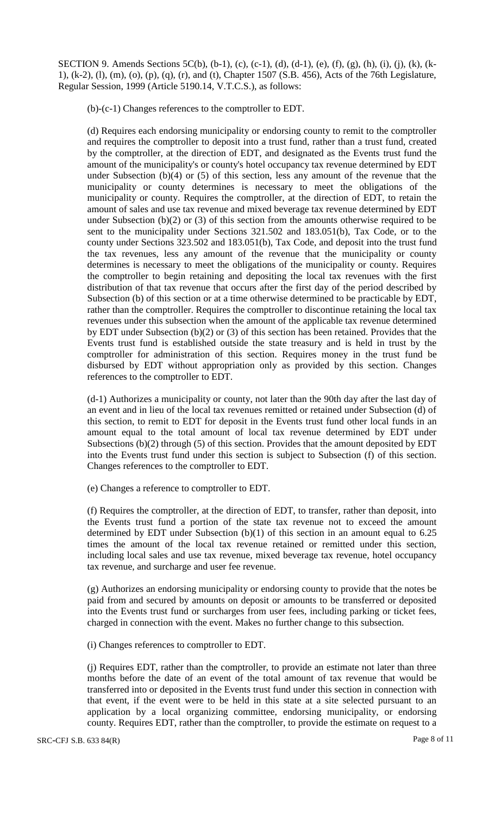SECTION 9. Amends Sections 5C(b), (b-1), (c), (c-1), (d), (d-1), (e), (f), (g), (h), (i), (j), (k), (k-1), (k-2), (l), (m), (o), (p), (q), (r), and (t), Chapter 1507 (S.B. 456), Acts of the 76th Legislature, Regular Session, 1999 (Article 5190.14, V.T.C.S.), as follows:

(b)-(c-1) Changes references to the comptroller to EDT.

(d) Requires each endorsing municipality or endorsing county to remit to the comptroller and requires the comptroller to deposit into a trust fund, rather than a trust fund, created by the comptroller, at the direction of EDT, and designated as the Events trust fund the amount of the municipality's or county's hotel occupancy tax revenue determined by EDT under Subsection (b)(4) or (5) of this section, less any amount of the revenue that the municipality or county determines is necessary to meet the obligations of the municipality or county. Requires the comptroller, at the direction of EDT, to retain the amount of sales and use tax revenue and mixed beverage tax revenue determined by EDT under Subsection  $(b)(2)$  or  $(3)$  of this section from the amounts otherwise required to be sent to the municipality under Sections 321.502 and 183.051(b), Tax Code, or to the county under Sections 323.502 and 183.051(b), Tax Code, and deposit into the trust fund the tax revenues, less any amount of the revenue that the municipality or county determines is necessary to meet the obligations of the municipality or county. Requires the comptroller to begin retaining and depositing the local tax revenues with the first distribution of that tax revenue that occurs after the first day of the period described by Subsection (b) of this section or at a time otherwise determined to be practicable by EDT, rather than the comptroller. Requires the comptroller to discontinue retaining the local tax revenues under this subsection when the amount of the applicable tax revenue determined by EDT under Subsection (b)(2) or (3) of this section has been retained. Provides that the Events trust fund is established outside the state treasury and is held in trust by the comptroller for administration of this section. Requires money in the trust fund be disbursed by EDT without appropriation only as provided by this section. Changes references to the comptroller to EDT.

(d-1) Authorizes a municipality or county, not later than the 90th day after the last day of an event and in lieu of the local tax revenues remitted or retained under Subsection (d) of this section, to remit to EDT for deposit in the Events trust fund other local funds in an amount equal to the total amount of local tax revenue determined by EDT under Subsections (b)(2) through (5) of this section. Provides that the amount deposited by EDT into the Events trust fund under this section is subject to Subsection (f) of this section. Changes references to the comptroller to EDT.

(e) Changes a reference to comptroller to EDT.

(f) Requires the comptroller, at the direction of EDT, to transfer, rather than deposit, into the Events trust fund a portion of the state tax revenue not to exceed the amount determined by EDT under Subsection (b)(1) of this section in an amount equal to 6.25 times the amount of the local tax revenue retained or remitted under this section, including local sales and use tax revenue, mixed beverage tax revenue, hotel occupancy tax revenue, and surcharge and user fee revenue.

(g) Authorizes an endorsing municipality or endorsing county to provide that the notes be paid from and secured by amounts on deposit or amounts to be transferred or deposited into the Events trust fund or surcharges from user fees, including parking or ticket fees, charged in connection with the event. Makes no further change to this subsection.

(i) Changes references to comptroller to EDT.

(j) Requires EDT, rather than the comptroller, to provide an estimate not later than three months before the date of an event of the total amount of tax revenue that would be transferred into or deposited in the Events trust fund under this section in connection with that event, if the event were to be held in this state at a site selected pursuant to an application by a local organizing committee, endorsing municipality, or endorsing county. Requires EDT, rather than the comptroller, to provide the estimate on request to a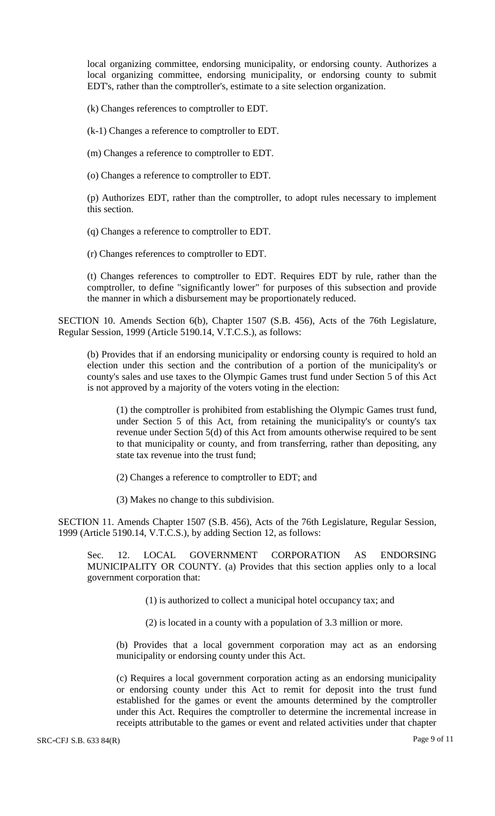local organizing committee, endorsing municipality, or endorsing county. Authorizes a local organizing committee, endorsing municipality, or endorsing county to submit EDT's, rather than the comptroller's, estimate to a site selection organization.

(k) Changes references to comptroller to EDT.

(k-1) Changes a reference to comptroller to EDT.

(m) Changes a reference to comptroller to EDT.

(o) Changes a reference to comptroller to EDT.

(p) Authorizes EDT, rather than the comptroller, to adopt rules necessary to implement this section.

(q) Changes a reference to comptroller to EDT.

(r) Changes references to comptroller to EDT.

(t) Changes references to comptroller to EDT. Requires EDT by rule, rather than the comptroller, to define "significantly lower" for purposes of this subsection and provide the manner in which a disbursement may be proportionately reduced.

SECTION 10. Amends Section 6(b), Chapter 1507 (S.B. 456), Acts of the 76th Legislature, Regular Session, 1999 (Article 5190.14, V.T.C.S.), as follows:

(b) Provides that if an endorsing municipality or endorsing county is required to hold an election under this section and the contribution of a portion of the municipality's or county's sales and use taxes to the Olympic Games trust fund under Section 5 of this Act is not approved by a majority of the voters voting in the election:

(1) the comptroller is prohibited from establishing the Olympic Games trust fund, under Section 5 of this Act, from retaining the municipality's or county's tax revenue under Section 5(d) of this Act from amounts otherwise required to be sent to that municipality or county, and from transferring, rather than depositing, any state tax revenue into the trust fund;

(2) Changes a reference to comptroller to EDT; and

(3) Makes no change to this subdivision.

SECTION 11. Amends Chapter 1507 (S.B. 456), Acts of the 76th Legislature, Regular Session, 1999 (Article 5190.14, V.T.C.S.), by adding Section 12, as follows:

Sec. 12. LOCAL GOVERNMENT CORPORATION AS ENDORSING MUNICIPALITY OR COUNTY. (a) Provides that this section applies only to a local government corporation that:

(1) is authorized to collect a municipal hotel occupancy tax; and

(2) is located in a county with a population of 3.3 million or more.

(b) Provides that a local government corporation may act as an endorsing municipality or endorsing county under this Act.

(c) Requires a local government corporation acting as an endorsing municipality or endorsing county under this Act to remit for deposit into the trust fund established for the games or event the amounts determined by the comptroller under this Act. Requires the comptroller to determine the incremental increase in receipts attributable to the games or event and related activities under that chapter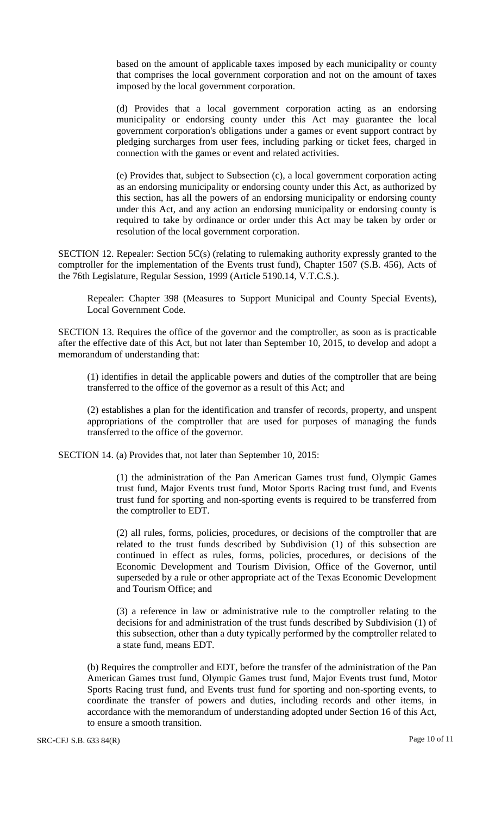based on the amount of applicable taxes imposed by each municipality or county that comprises the local government corporation and not on the amount of taxes imposed by the local government corporation.

(d) Provides that a local government corporation acting as an endorsing municipality or endorsing county under this Act may guarantee the local government corporation's obligations under a games or event support contract by pledging surcharges from user fees, including parking or ticket fees, charged in connection with the games or event and related activities.

(e) Provides that, subject to Subsection (c), a local government corporation acting as an endorsing municipality or endorsing county under this Act, as authorized by this section, has all the powers of an endorsing municipality or endorsing county under this Act, and any action an endorsing municipality or endorsing county is required to take by ordinance or order under this Act may be taken by order or resolution of the local government corporation.

SECTION 12. Repealer: Section 5C(s) (relating to rulemaking authority expressly granted to the comptroller for the implementation of the Events trust fund), Chapter 1507 (S.B. 456), Acts of the 76th Legislature, Regular Session, 1999 (Article 5190.14, V.T.C.S.).

Repealer: Chapter 398 (Measures to Support Municipal and County Special Events), Local Government Code.

SECTION 13. Requires the office of the governor and the comptroller, as soon as is practicable after the effective date of this Act, but not later than September 10, 2015, to develop and adopt a memorandum of understanding that:

(1) identifies in detail the applicable powers and duties of the comptroller that are being transferred to the office of the governor as a result of this Act; and

(2) establishes a plan for the identification and transfer of records, property, and unspent appropriations of the comptroller that are used for purposes of managing the funds transferred to the office of the governor.

SECTION 14. (a) Provides that, not later than September 10, 2015:

(1) the administration of the Pan American Games trust fund, Olympic Games trust fund, Major Events trust fund, Motor Sports Racing trust fund, and Events trust fund for sporting and non-sporting events is required to be transferred from the comptroller to EDT.

(2) all rules, forms, policies, procedures, or decisions of the comptroller that are related to the trust funds described by Subdivision (1) of this subsection are continued in effect as rules, forms, policies, procedures, or decisions of the Economic Development and Tourism Division, Office of the Governor, until superseded by a rule or other appropriate act of the Texas Economic Development and Tourism Office; and

(3) a reference in law or administrative rule to the comptroller relating to the decisions for and administration of the trust funds described by Subdivision (1) of this subsection, other than a duty typically performed by the comptroller related to a state fund, means EDT.

(b) Requires the comptroller and EDT, before the transfer of the administration of the Pan American Games trust fund, Olympic Games trust fund, Major Events trust fund, Motor Sports Racing trust fund, and Events trust fund for sporting and non-sporting events, to coordinate the transfer of powers and duties, including records and other items, in accordance with the memorandum of understanding adopted under Section 16 of this Act, to ensure a smooth transition.